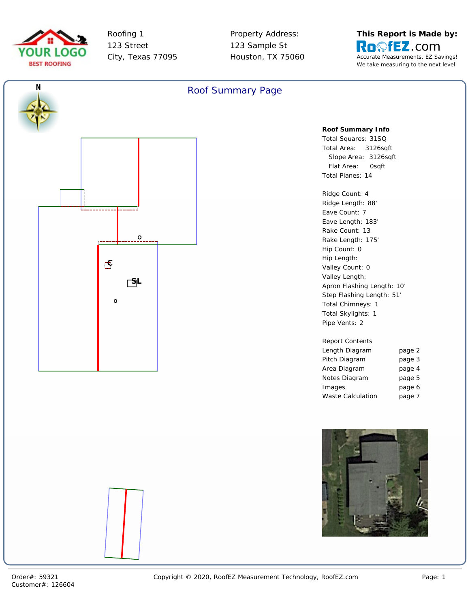



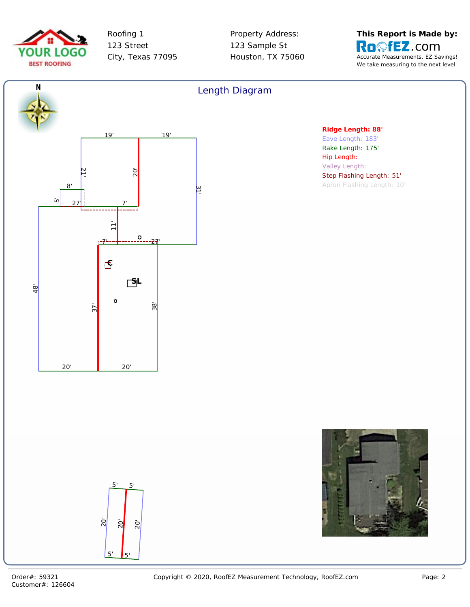



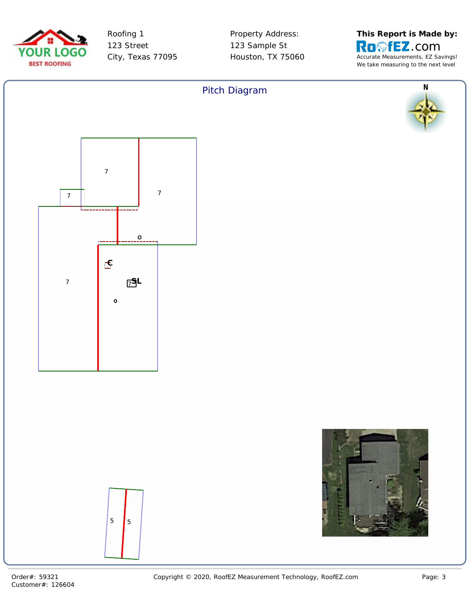



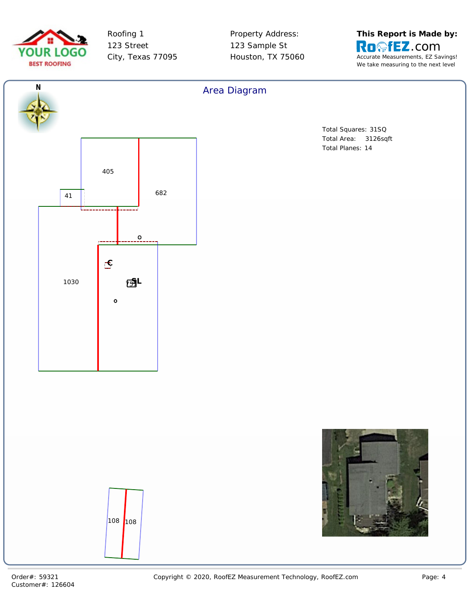



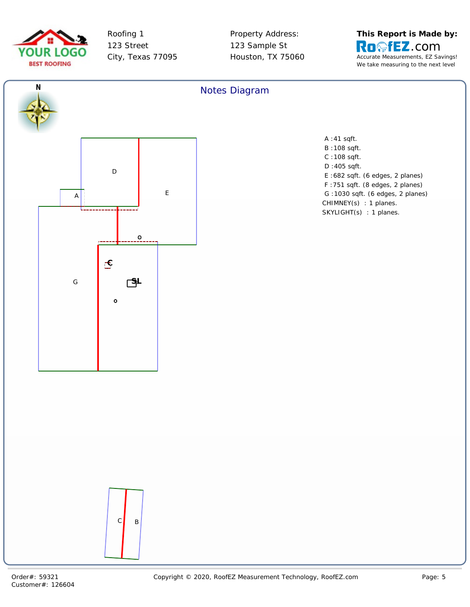



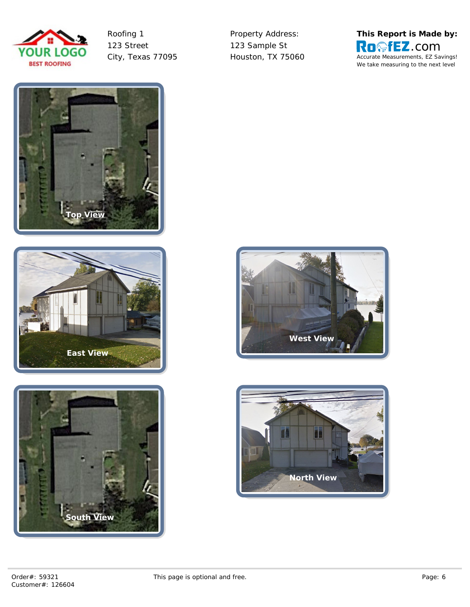